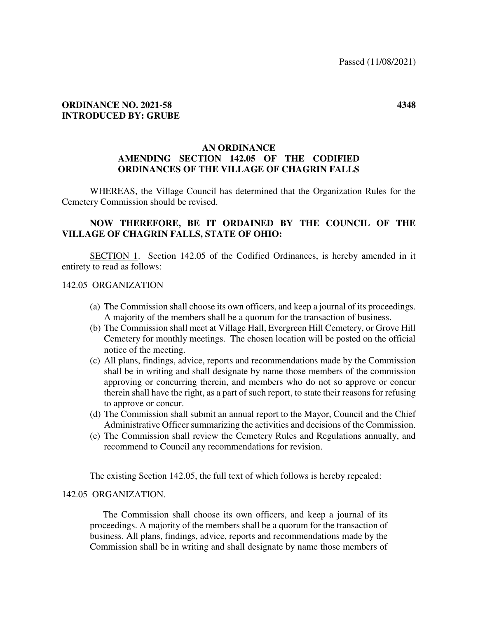### **ORDINANCE NO. 2021-58 4348 INTRODUCED BY: GRUBE**

# **AN ORDINANCE AMENDING SECTION 142.05 OF THE CODIFIED ORDINANCES OF THE VILLAGE OF CHAGRIN FALLS**

WHEREAS, the Village Council has determined that the Organization Rules for the Cemetery Commission should be revised.

# **NOW THEREFORE, BE IT ORDAINED BY THE COUNCIL OF THE VILLAGE OF CHAGRIN FALLS, STATE OF OHIO:**

 SECTION 1. Section 142.05 of the Codified Ordinances, is hereby amended in it entirety to read as follows:

#### 142.05 ORGANIZATION

- (a) The Commission shall choose its own officers, and keep a journal of its proceedings. A majority of the members shall be a quorum for the transaction of business.
- (b) The Commission shall meet at Village Hall, Evergreen Hill Cemetery, or Grove Hill Cemetery for monthly meetings. The chosen location will be posted on the official notice of the meeting.
- (c) All plans, findings, advice, reports and recommendations made by the Commission shall be in writing and shall designate by name those members of the commission approving or concurring therein, and members who do not so approve or concur therein shall have the right, as a part of such report, to state their reasons for refusing to approve or concur.
- (d) The Commission shall submit an annual report to the Mayor, Council and the Chief Administrative Officer summarizing the activities and decisions of the Commission.
- (e) The Commission shall review the Cemetery Rules and Regulations annually, and recommend to Council any recommendations for revision.

The existing Section 142.05, the full text of which follows is hereby repealed:

#### 142.05 ORGANIZATION.

 The Commission shall choose its own officers, and keep a journal of its proceedings. A majority of the members shall be a quorum for the transaction of business. All plans, findings, advice, reports and recommendations made by the Commission shall be in writing and shall designate by name those members of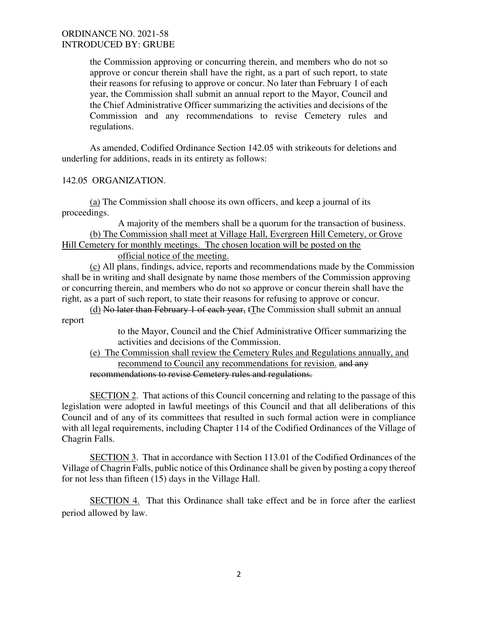### ORDINANCE NO. 2021-58 INTRODUCED BY: GRUBE

the Commission approving or concurring therein, and members who do not so approve or concur therein shall have the right, as a part of such report, to state their reasons for refusing to approve or concur. No later than February 1 of each year, the Commission shall submit an annual report to the Mayor, Council and the Chief Administrative Officer summarizing the activities and decisions of the Commission and any recommendations to revise Cemetery rules and regulations.

As amended, Codified Ordinance Section 142.05 with strikeouts for deletions and underling for additions, reads in its entirety as follows:

142.05 ORGANIZATION.

 (a) The Commission shall choose its own officers, and keep a journal of its proceedings.

A majority of the members shall be a quorum for the transaction of business. (b) The Commission shall meet at Village Hall, Evergreen Hill Cemetery, or Grove Hill Cemetery for monthly meetings. The chosen location will be posted on the

official notice of the meeting.

(c) All plans, findings, advice, reports and recommendations made by the Commission shall be in writing and shall designate by name those members of the Commission approving or concurring therein, and members who do not so approve or concur therein shall have the right, as a part of such report, to state their reasons for refusing to approve or concur.

(d) No later than February 1 of each year, tThe Commission shall submit an annual report

> to the Mayor, Council and the Chief Administrative Officer summarizing the activities and decisions of the Commission.

(e) The Commission shall review the Cemetery Rules and Regulations annually, and recommend to Council any recommendations for revision. and any recommendations to revise Cemetery rules and regulations.

SECTION 2. That actions of this Council concerning and relating to the passage of this legislation were adopted in lawful meetings of this Council and that all deliberations of this Council and of any of its committees that resulted in such formal action were in compliance with all legal requirements, including Chapter 114 of the Codified Ordinances of the Village of Chagrin Falls.

SECTION 3. That in accordance with Section 113.01 of the Codified Ordinances of the Village of Chagrin Falls, public notice of this Ordinance shall be given by posting a copy thereof for not less than fifteen (15) days in the Village Hall.

SECTION 4. That this Ordinance shall take effect and be in force after the earliest period allowed by law.